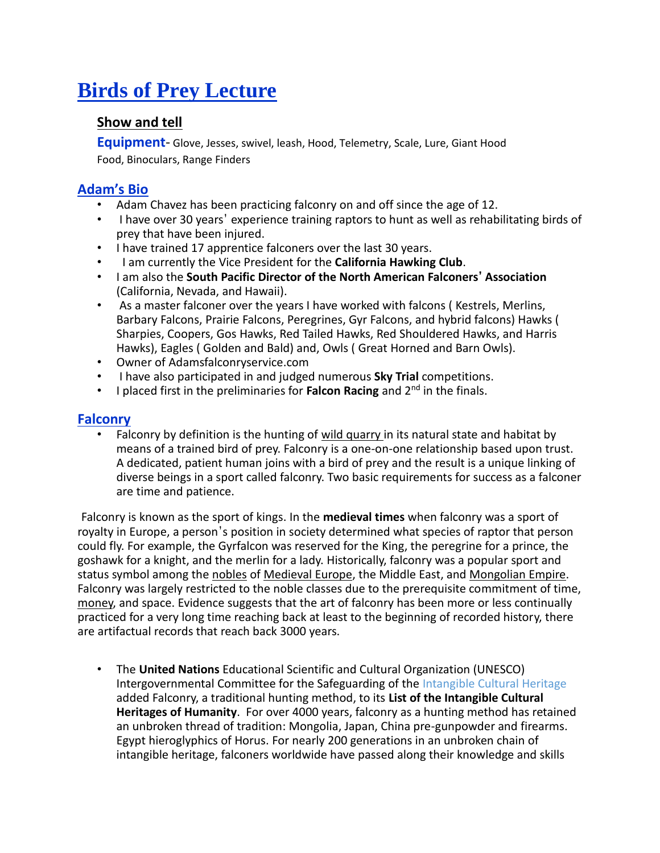# **Birds of Prey Lecture**

#### **Show and tell**

**Equipment**- Glove, Jesses, swivel, leash, Hood, Telemetry, Scale, Lure, Giant Hood Food, Binoculars, Range Finders

# **Adam's Bio**

- Adam Chavez has been practicing falconry on and off since the age of 12.
- I have over 30 years' experience training raptors to hunt as well as rehabilitating birds of prey that have been injured.
- I have trained 17 apprentice falconers over the last 30 years.
- I am currently the Vice President for the **California Hawking Club**.
- I am also the **South Pacific Director of the North American Falconers' Association** (California, Nevada, and Hawaii).
- As a master falconer over the years I have worked with falcons ( Kestrels, Merlins, Barbary Falcons, Prairie Falcons, Peregrines, Gyr Falcons, and hybrid falcons) Hawks ( Sharpies, Coopers, Gos Hawks, Red Tailed Hawks, Red Shouldered Hawks, and Harris Hawks), Eagles ( Golden and Bald) and, Owls ( Great Horned and Barn Owls).
- Owner of Adamsfalconryservice.com
- I have also participated in and judged numerous **Sky Trial** competitions.
- I placed first in the preliminaries for **Falcon Racing** and 2nd in the finals.

# **Falconry**

• Falconry by definition is the hunting of wild quarry in its natural state and habitat by means of a trained bird of prey. Falconry is a one-on-one relationship based upon trust. A dedicated, patient human joins with a bird of prey and the result is a unique linking of diverse beings in a sport called falconry. Two basic requirements for success as a falconer are time and patience.

Falconry is known as the sport of kings. In the **medieval times** when falconry was a sport of royalty in Europe, a person's position in society determined what species of raptor that person could fly. For example, the Gyrfalcon was reserved for the King, the peregrine for a prince, the goshawk for a knight, and the merlin for a lady. Historically, falconry was a popular sport and status symbol among th[e nobles](http://en.wikipedia.org/wiki/Nobility) of [Medieval Europe,](http://en.wikipedia.org/wiki/Medieval_Europe) the Middle East, and [Mongolian Empire.](http://en.wikipedia.org/wiki/Mongolian_Empire) Falconry was largely restricted to the noble classes due to the prerequisite commitment of time, [money,](http://en.wikipedia.org/wiki/Falconry) and space. Evidence suggests that the art of falconry has been more or less continually practiced for a very long time reaching back at least to the beginning of recorded history, there are artifactual records that reach back 3000 years.

• The **United Nations** Educational Scientific and Cultural Organization (UNESCO) Intergovernmental Committee for the Safeguarding of the Intangible Cultural Heritage added Falconry, a traditional hunting method, to its **List of the Intangible Cultural Heritages of Humanity**. For over 4000 years, falconry as a hunting method has retained an unbroken thread of tradition: Mongolia, Japan, China pre-gunpowder and firearms. Egypt hieroglyphics of Horus. For nearly 200 generations in an unbroken chain of intangible heritage, falconers worldwide have passed along their knowledge and skills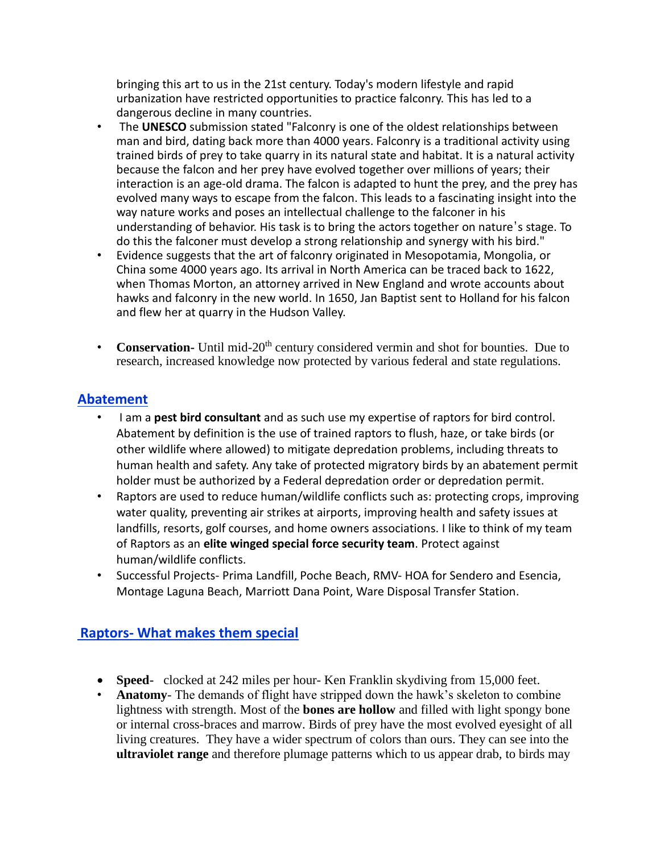bringing this art to us in the 21st century. Today's modern lifestyle and rapid urbanization have restricted opportunities to practice falconry. This has led to a dangerous decline in many countries.

- The **UNESCO** submission stated "Falconry is one of the oldest relationships between man and bird, dating back more than 4000 years. Falconry is a traditional activity using trained birds of prey to take quarry in its natural state and habitat. It is a natural activity because the falcon and her prey have evolved together over millions of years; their interaction is an age-old drama. The falcon is adapted to hunt the prey, and the prey has evolved many ways to escape from the falcon. This leads to a fascinating insight into the way nature works and poses an intellectual challenge to the falconer in his understanding of behavior. His task is to bring the actors together on nature's stage. To do this the falconer must develop a strong relationship and synergy with his bird."
- Evidence suggests that the art of falconry originated in Mesopotamia, Mongolia, or China some 4000 years ago. Its arrival in North America can be traced back to 1622, when Thomas Morton, an attorney arrived in New England and wrote accounts about hawks and falconry in the new world. In 1650, Jan Baptist sent to Holland for his falcon and flew her at quarry in the Hudson Valley.
- **Conservation-** Until mid-20<sup>th</sup> century considered vermin and shot for bounties. Due to research, increased knowledge now protected by various federal and state regulations.

### **Abatement**

- I am a **pest bird consultant** and as such use my expertise of raptors for bird control. Abatement by definition is the use of trained raptors to flush, haze, or take birds (or other wildlife where allowed) to mitigate depredation problems, including threats to human health and safety. Any take of protected migratory birds by an abatement permit holder must be authorized by a Federal depredation order or depredation permit.
- Raptors are used to reduce human/wildlife conflicts such as: protecting crops, improving water quality, preventing air strikes at airports, improving health and safety issues at landfills, resorts, golf courses, and home owners associations. I like to think of my team of Raptors as an **elite winged special force security team**. Protect against human/wildlife conflicts.
- Successful Projects- Prima Landfill, Poche Beach, RMV- HOA for Sendero and Esencia, Montage Laguna Beach, Marriott Dana Point, Ware Disposal Transfer Station.

# **Raptors- What makes them special**

- **Speed-** clocked at 242 miles per hour- Ken Franklin skydiving from 15,000 feet.
- **Anatomy** The demands of flight have stripped down the hawk's skeleton to combine lightness with strength. Most of the **bones are hollow** and filled with light spongy bone or internal cross-braces and marrow. Birds of prey have the most evolved eyesight of all living creatures. They have a wider spectrum of colors than ours. They can see into the **ultraviolet range** and therefore plumage patterns which to us appear drab, to birds may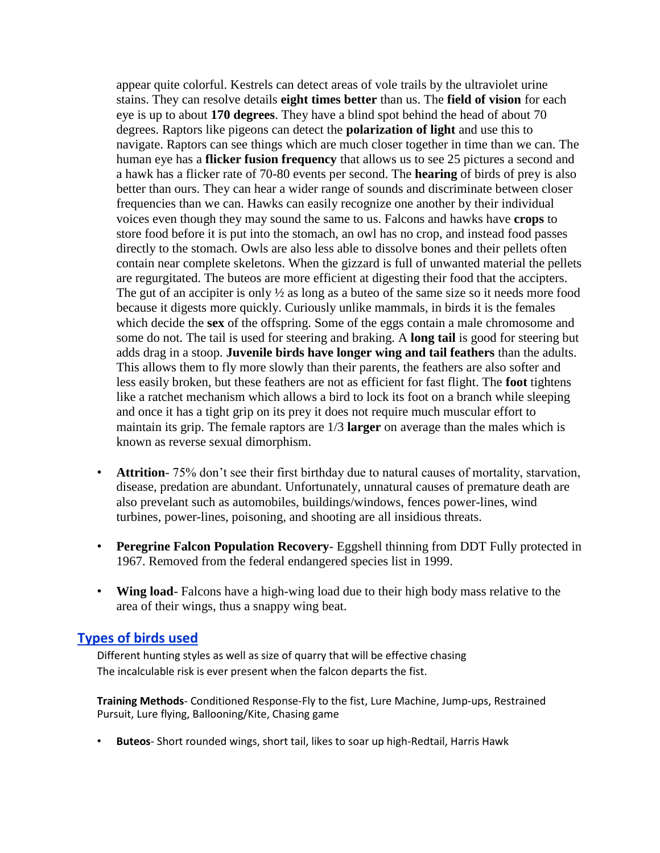appear quite colorful. Kestrels can detect areas of vole trails by the ultraviolet urine stains. They can resolve details **eight times better** than us. The **field of vision** for each eye is up to about **170 degrees**. They have a blind spot behind the head of about 70 degrees. Raptors like pigeons can detect the **polarization of light** and use this to navigate. Raptors can see things which are much closer together in time than we can. The human eye has a **flicker fusion frequency** that allows us to see 25 pictures a second and a hawk has a flicker rate of 70-80 events per second. The **hearing** of birds of prey is also better than ours. They can hear a wider range of sounds and discriminate between closer frequencies than we can. Hawks can easily recognize one another by their individual voices even though they may sound the same to us. Falcons and hawks have **crops** to store food before it is put into the stomach, an owl has no crop, and instead food passes directly to the stomach. Owls are also less able to dissolve bones and their pellets often contain near complete skeletons. When the gizzard is full of unwanted material the pellets are regurgitated. The buteos are more efficient at digesting their food that the accipters. The gut of an accipiter is only  $\frac{1}{2}$  as long as a buteo of the same size so it needs more food because it digests more quickly. Curiously unlike mammals, in birds it is the females which decide the **sex** of the offspring. Some of the eggs contain a male chromosome and some do not. The tail is used for steering and braking. A **long tail** is good for steering but adds drag in a stoop. **Juvenile birds have longer wing and tail feathers** than the adults. This allows them to fly more slowly than their parents, the feathers are also softer and less easily broken, but these feathers are not as efficient for fast flight. The **foot** tightens like a ratchet mechanism which allows a bird to lock its foot on a branch while sleeping and once it has a tight grip on its prey it does not require much muscular effort to maintain its grip. The female raptors are 1/3 **larger** on average than the males which is known as reverse sexual dimorphism.

- **Attrition** 75% don't see their first birthday due to natural causes of mortality, starvation, disease, predation are abundant. Unfortunately, unnatural causes of premature death are also prevelant such as automobiles, buildings/windows, fences power-lines, wind turbines, power-lines, poisoning, and shooting are all insidious threats.
- **Peregrine Falcon Population Recovery** Eggshell thinning from DDT Fully protected in 1967. Removed from the federal endangered species list in 1999.
- **Wing load** Falcons have a high-wing load due to their high body mass relative to the area of their wings, thus a snappy wing beat.

#### **Types of birds used**

Different hunting styles as well as size of quarry that will be effective chasing The incalculable risk is ever present when the falcon departs the fist.

**Training Methods**- Conditioned Response-Fly to the fist, Lure Machine, Jump-ups, Restrained Pursuit, Lure flying, Ballooning/Kite, Chasing game

• **Buteos**- Short rounded wings, short tail, likes to soar up high-Redtail, Harris Hawk